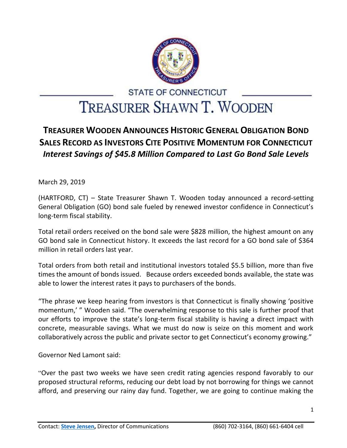

## **STATE OF CONNECTICUT** TREASURER SHAWN T. WOODEN

## **TREASURER WOODEN ANNOUNCES HISTORIC GENERAL OBLIGATION BOND SALES RECORD AS INVESTORS CITE POSITIVE MOMENTUM FOR CONNECTICUT** *Interest Savings of \$45.8 Million Compared to Last Go Bond Sale Levels*

March 29, 2019

(HARTFORD, CT) – State Treasurer Shawn T. Wooden today announced a record-setting General Obligation (GO) bond sale fueled by renewed investor confidence in Connecticut's long-term fiscal stability.

Total retail orders received on the bond sale were \$828 million, the highest amount on any GO bond sale in Connecticut history. It exceeds the last record for a GO bond sale of \$364 million in retail orders last year.

Total orders from both retail and institutional investors totaled \$5.5 billion, more than five times the amount of bonds issued. Because orders exceeded bonds available, the state was able to lower the interest rates it pays to purchasers of the bonds.

"The phrase we keep hearing from investors is that Connecticut is finally showing 'positive momentum,' " Wooden said. "The overwhelming response to this sale is further proof that our efforts to improve the state's long-term fiscal stability is having a direct impact with concrete, measurable savings. What we must do now is seize on this moment and work collaboratively across the public and private sector to get Connecticut's economy growing."

Governor Ned Lamont said:

"Over the past two weeks we have seen credit rating agencies respond favorably to our proposed structural reforms, reducing our debt load by not borrowing for things we cannot afford, and preserving our rainy day fund. Together, we are going to continue making the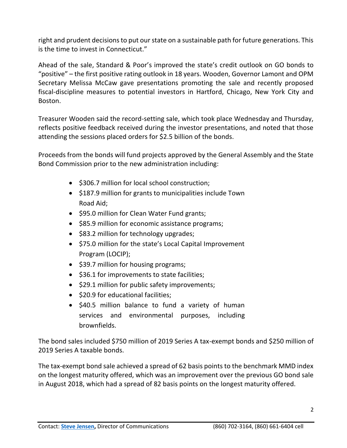right and prudent decisions to put our state on a sustainable path for future generations. This is the time to invest in Connecticut."

Ahead of the sale, Standard & Poor's improved the state's credit outlook on GO bonds to "positive" – the first positive rating outlook in 18 years. Wooden, Governor Lamont and OPM Secretary Melissa McCaw gave presentations promoting the sale and recently proposed fiscal-discipline measures to potential investors in Hartford, Chicago, New York City and Boston.

Treasurer Wooden said the record-setting sale, which took place Wednesday and Thursday, reflects positive feedback received during the investor presentations, and noted that those attending the sessions placed orders for \$2.5 billion of the bonds.

Proceeds from the bonds will fund projects approved by the General Assembly and the State Bond Commission prior to the new administration including:

- \$306.7 million for local school construction;
- \$187.9 million for grants to municipalities include Town Road Aid;
- \$95.0 million for Clean Water Fund grants;
- \$85.9 million for economic assistance programs;
- \$83.2 million for technology upgrades;
- \$75.0 million for the state's Local Capital Improvement Program (LOCIP);
- \$39.7 million for housing programs;
- $\bullet$  \$36.1 for improvements to state facilities;
- \$29.1 million for public safety improvements;
- \$20.9 for educational facilities;
- \$40.5 million balance to fund a variety of human services and environmental purposes, including brownfields.

The bond sales included \$750 million of 2019 Series A tax-exempt bonds and \$250 million of 2019 Series A taxable bonds.

The tax-exempt bond sale achieved a spread of 62 basis points to the benchmark MMD index on the longest maturity offered, which was an improvement over the previous GO bond sale in August 2018, which had a spread of 82 basis points on the longest maturity offered.